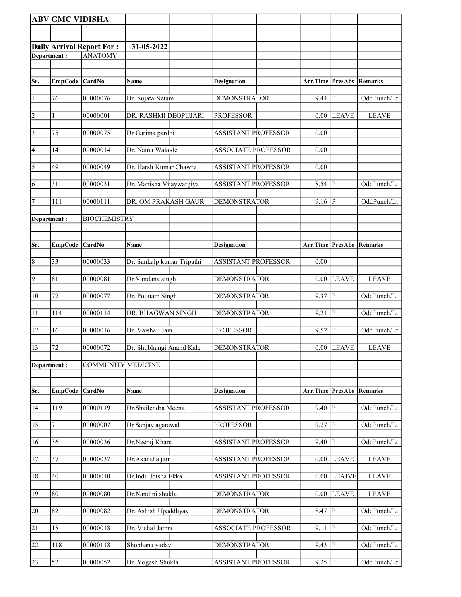|                       | <b>ABV GMC VIDISHA</b> |                                  |                            |                            |                         |                         |                |
|-----------------------|------------------------|----------------------------------|----------------------------|----------------------------|-------------------------|-------------------------|----------------|
|                       |                        |                                  |                            |                            |                         |                         |                |
|                       |                        | <b>Daily Arrival Report For:</b> | 31-05-2022                 |                            |                         |                         |                |
| Department:           |                        | <b>ANATOMY</b>                   |                            |                            |                         |                         |                |
|                       |                        |                                  |                            |                            |                         |                         |                |
| Sr.                   |                        | CardNo                           |                            |                            | <b>Arr.Time PresAbs</b> |                         | Remarks        |
|                       | <b>EmpCode</b>         |                                  | Name                       | <b>Designation</b>         |                         |                         |                |
| $\vert$ 1             | 76                     | 00000076                         | Dr. Sujata Netam           | <b>DEMONSTRATOR</b>        | $9.44$ P                |                         | OddPunch/Lt    |
| $\vert$ 2             |                        | 00000001                         | DR. RASHMI DEOPUJARI       | <b>PROFESSOR</b>           | 0.00                    | <b>LEAVE</b>            | <b>LEAVE</b>   |
|                       |                        |                                  |                            |                            |                         |                         |                |
| $\vert$ 3             | 75                     | 00000075                         | Dr Garima pardhi           | <b>ASSISTANT PROFESSOR</b> | 0.00                    |                         |                |
| 4                     | 14                     | 00000014                         | Dr. Naina Wakode           | <b>ASSOCIATE PROFESSOR</b> | 0.00                    |                         |                |
|                       |                        |                                  |                            |                            |                         |                         |                |
| $\overline{\sqrt{5}}$ | 49                     | 00000049                         | Dr. Harsh Kumar Chawre     | <b>ASSISTANT PROFESSOR</b> | 0.00                    |                         |                |
| 6                     | 31                     | 00000031                         | Dr. Manisha Vijaywargiya   | <b>ASSISTANT PROFESSOR</b> | $8.54$ P                |                         | OddPunch/Lt    |
|                       |                        |                                  |                            |                            |                         |                         |                |
| 7                     | 111                    | 00000111                         | DR. OM PRAKASH GAUR        | <b>DEMONSTRATOR</b>        | $9.16$ P                |                         | OddPunch/Lt    |
| Department:           |                        | <b>BIOCHEMISTRY</b>              |                            |                            |                         |                         |                |
|                       |                        |                                  |                            |                            |                         |                         |                |
| Sr.                   | <b>EmpCode</b>         | CardNo                           | Name                       |                            | <b>Arr.Time PresAbs</b> |                         | Remarks        |
|                       |                        |                                  |                            | <b>Designation</b>         |                         |                         |                |
| $\vert 8$             | 33                     | 00000033                         | Dr. Sankalp kumar Tripathi | <b>ASSISTANT PROFESSOR</b> | 0.00                    |                         |                |
| $\overline{9}$        | 81                     | 00000081                         | Dr Vandana singh           | <b>DEMONSTRATOR</b>        | 0.00                    | <b>LEAVE</b>            | <b>LEAVE</b>   |
|                       |                        |                                  |                            |                            |                         |                         |                |
| 10                    | 77                     | 00000077                         | Dr. Poonam Singh           | <b>DEMONSTRATOR</b>        | 9.37                    | IР                      | OddPunch/Lt    |
| 11                    | 114                    | 00000114                         | DR. BHAGWAN SINGH          | <b>DEMONSTRATOR</b>        | 9.21  P                 |                         | OddPunch/Lt    |
|                       |                        |                                  |                            |                            |                         |                         |                |
| 12                    | 16                     | 00000016                         | Dr. Vaishali Jain          | <b>PROFESSOR</b>           | 9.52                    | P                       | OddPunch/Lt    |
| 13                    | 72                     | 00000072                         | Dr. Shubhangi Anand Kale   | <b>DEMONSTRATOR</b>        |                         | $0.00$ LEAVE            | <b>LEAVE</b>   |
|                       |                        |                                  |                            |                            |                         |                         |                |
| Department:           |                        | <b>COMMUNITY MEDICINE</b>        |                            |                            |                         |                         |                |
|                       |                        |                                  |                            |                            |                         |                         |                |
| Sr.                   | <b>EmpCode</b>         | CardNo                           | Name                       | <b>Designation</b>         | Arr.Time PresAbs        |                         | <b>Remarks</b> |
|                       | 119                    | 00000119                         | Dr.Shailendra Meena        | <b>ASSISTANT PROFESSOR</b> | 9.40                    | P                       | OddPunch/Lt    |
| 14                    |                        |                                  |                            |                            |                         |                         |                |
| 15                    |                        | 00000007                         | Dr Sanjay agarawal         | <b>PROFESSOR</b>           | 9.27                    | $\overline{\mathbf{P}}$ | OddPunch/Lt    |
| 16                    | 36                     | 00000036                         | Dr.Neeraj Khare            | <b>ASSISTANT PROFESSOR</b> | 9.40                    | $ {\bf p} $             | OddPunch/Lt    |
|                       |                        |                                  |                            |                            |                         |                         |                |
| <sup>17</sup>         | 37                     | 00000037                         | Dr.Akansha jain            | <b>ASSISTANT PROFESSOR</b> | 0.00                    | <b>LEAVE</b>            | <b>LEAVE</b>   |
| 18                    | 40                     | 00000040                         | Dr.Indu Jotsna Ekka        | <b>ASSISTANT PROFESSOR</b> | 0.00                    | <b>LEAJVE</b>           | <b>LEAVE</b>   |
|                       |                        |                                  |                            |                            |                         |                         |                |
| 19                    | 80                     | 00000080                         | Dr.Nandini shukla          | <b>DEMONSTRATOR</b>        | 0.00                    | <b>LEAVE</b>            | <b>LEAVE</b>   |
| 20                    | 82                     | 00000082                         | Dr. Ashish Upaddhyay       | <b>DEMONSTRATOR</b>        | 8.47                    | $\overline{\mathbf{P}}$ | OddPunch/Lt    |
|                       |                        |                                  |                            |                            |                         |                         |                |
| $\overline{21}$       | 18                     | 00000018                         | Dr. Vishal Jamra           | <b>ASSOCIATE PROFESSOR</b> | 9.11                    | $ {\bf p} $             | OddPunch/Lt    |
| 22                    | 118                    | 00000118                         | Shobhana yadav             | <b>DEMONSTRATOR</b>        | 9.43                    | p                       | OddPunch/Lt    |
|                       |                        |                                  |                            |                            |                         |                         |                |
| 23                    | 52                     | 00000052                         | Dr. Yogesh Shukla          | ASSISTANT PROFESSOR        | 9.25  P                 |                         | OddPunch/Lt    |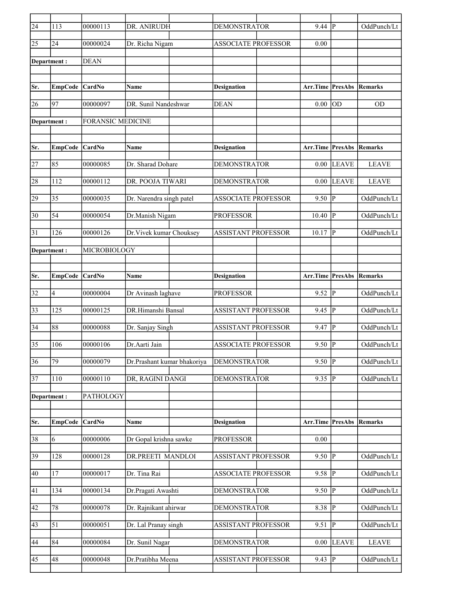| $\overline{24}$ | 113            | 00000113                 | DR. ANIRUDH                 | <b>DEMONSTRATOR</b>        | $9.44$ P                |              | OddPunch/Lt    |
|-----------------|----------------|--------------------------|-----------------------------|----------------------------|-------------------------|--------------|----------------|
| 25              | 24             | 00000024                 | Dr. Richa Nigam             | <b>ASSOCIATE PROFESSOR</b> | 0.00                    |              |                |
| Department:     |                | <b>DEAN</b>              |                             |                            |                         |              |                |
|                 |                |                          |                             |                            |                         |              |                |
| Sr.             | <b>EmpCode</b> | <b>CardNo</b>            | Name                        | <b>Designation</b>         | Arr.Time PresAbs        |              | Remarks        |
| 26              | 97             | 00000097                 | DR. Sunil Nandeshwar        | <b>DEAN</b>                | 0.00                    | OD           | <b>OD</b>      |
| Department:     |                | <b>FORANSIC MEDICINE</b> |                             |                            |                         |              |                |
|                 |                |                          |                             |                            |                         |              |                |
| Sr.             | <b>EmpCode</b> | <b>CardNo</b>            | <b>Name</b>                 | <b>Designation</b>         | <b>Arr.Time PresAbs</b> |              | <b>Remarks</b> |
| 27              | 85             | 00000085                 | Dr. Sharad Dohare           | <b>DEMONSTRATOR</b>        |                         | $0.00$ LEAVE | <b>LEAVE</b>   |
| 28              | 112            | 00000112                 | DR. POOJA TIWARI            | <b>DEMONSTRATOR</b>        | 0.00                    | <b>LEAVE</b> | <b>LEAVE</b>   |
| 29              | 35             | 00000035                 | Dr. Narendra singh patel    | <b>ASSOCIATE PROFESSOR</b> | 9.50                    | lР           | OddPunch/Lt    |
| 30              | 54             | 00000054                 | Dr.Manish Nigam             | <b>PROFESSOR</b>           | 10.40                   | P            | OddPunch/Lt    |
| 31              | 126            | 00000126                 | Dr. Vivek kumar Chouksey    | <b>ASSISTANT PROFESSOR</b> | 10.17                   | lР           | OddPunch/Lt    |
| Department :    |                | MICROBIOLOGY             |                             |                            |                         |              |                |
|                 |                |                          |                             |                            |                         |              |                |
| Sr.             | <b>EmpCode</b> | <b>CardNo</b>            | <b>Name</b>                 | <b>Designation</b>         | Arr.Time PresAbs        |              | <b>Remarks</b> |
| 32              | 4              | 00000004                 | Dr Avinash laghave          | <b>PROFESSOR</b>           | $9.52 \overline{P}$     |              | OddPunch/Lt    |
| 33              | 125            | 00000125                 | DR.Himanshi Bansal          | ASSISTANT PROFESSOR        | 9.45                    | lP.          | OddPunch/Lt    |
| 34              | 88             | 00000088                 | Dr. Sanjay Singh            | <b>ASSISTANT PROFESSOR</b> | 9.47                    | P            | OddPunch/Lt    |
| 35              | 106            | 00000106                 | Dr.Aarti Jain               | <b>ASSOCIATE PROFESSOR</b> | 9.50                    | lР           | OddPunch/Lt    |
| 36              | 79             | 00000079                 | Dr.Prashant kumar bhakoriya | <b>DEMONSTRATOR</b>        | $9.50$ P                |              | OddPunch/Lt    |
| 37              | $110\,$        | 00000110                 | DR, RAGINI DANGI            | <b>DEMONSTRATOR</b>        | 9.35  P                 |              | OddPunch/Lt    |
| Department:     |                | PATHOLOGY                |                             |                            |                         |              |                |
|                 |                |                          |                             |                            |                         |              |                |
| Sr.             | <b>EmpCode</b> | CardNo                   | Name                        | <b>Designation</b>         | Arr.Time PresAbs        |              | <b>Remarks</b> |
| 38              | 6              | 00000006                 | Dr Gopal krishna sawke      | <b>PROFESSOR</b>           | 0.00                    |              |                |
| 39              | 128            | 00000128                 | DR.PREETI MANDLOI           | <b>ASSISTANT PROFESSOR</b> | $9.50$ P                |              | OddPunch/Lt    |
| 40              | 17             | 00000017                 | Dr. Tina Rai                | <b>ASSOCIATE PROFESSOR</b> | $9.58$ P                |              | OddPunch/Lt    |
| 41              | 134            | 00000134                 | Dr.Pragati Awashti          | DEMONSTRATOR               | $9.50$  P               |              | OddPunch/Lt    |
| 42              | 78             | 00000078                 | Dr. Rajnikant ahirwar       | <b>DEMONSTRATOR</b>        | 8.38                    | P            | OddPunch/Lt    |
| 43              | 51             | 00000051                 | Dr. Lal Pranay singh        | ASSISTANT PROFESSOR        | 9.51                    | P            | OddPunch/Lt    |
| 44              | 84             | 00000084                 | Dr. Sunil Nagar             | <b>DEMONSTRATOR</b>        | 0.00                    | <b>LEAVE</b> | <b>LEAVE</b>   |
| 45              | 48             | 00000048                 | Dr.Pratibha Meena           | ASSISTANT PROFESSOR        | 9.43                    | lР           | OddPunch/Lt    |
|                 |                |                          |                             |                            |                         |              |                |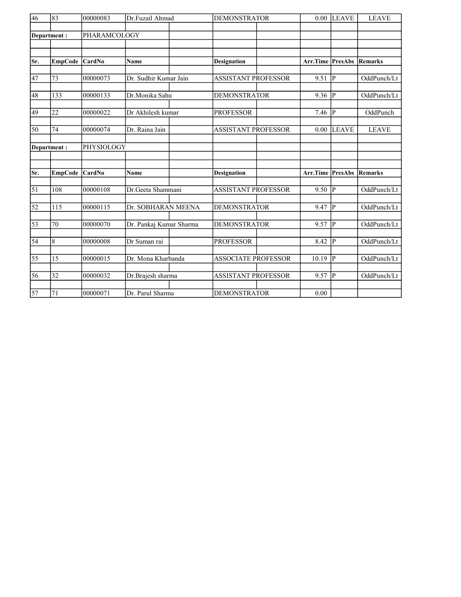| 46              | 83<br>00000083  |              | Dr.Fuzail Ahmad         | <b>DEMONSTRATOR</b>        | 0.00     | <b>LEAVE</b>   | <b>LEAVE</b>   |
|-----------------|-----------------|--------------|-------------------------|----------------------------|----------|----------------|----------------|
|                 |                 |              |                         |                            |          |                |                |
|                 | Department:     | PHARAMCOLOGY |                         |                            |          |                |                |
|                 |                 |              |                         |                            |          |                |                |
|                 |                 |              |                         |                            |          |                |                |
| Sr.             | <b>EmpCode</b>  | CardNo       | <b>Name</b>             | <b>Designation</b>         | Arr.Time | PresAbs        | <b>Remarks</b> |
| 47              | 73              | 00000073     | Dr. Sudhir Kumar Jain   | <b>ASSISTANT PROFESSOR</b> | 9.51     | Þ              | OddPunch/Lt    |
| 48              | 133             | 00000133     | Dr.Monika Sahu          | <b>DEMONSTRATOR</b>        | 9.36     | $\overline{P}$ | OddPunch/Lt    |
| 49              | 22              | 00000022     | Dr Akhilesh kumar       | <b>PROFESSOR</b>           | 7.46     | P              | OddPunch       |
| 50              | 74              | 00000074     | Dr. Raina Jain          | <b>ASSISTANT PROFESSOR</b> | 0.00     | <b>LEAVE</b>   | <b>LEAVE</b>   |
| Department:     |                 | PHYSIOLOGY   |                         |                            |          |                |                |
|                 |                 |              |                         |                            |          |                |                |
|                 |                 |              |                         |                            |          |                |                |
| Sr.             | <b>EmpCode</b>  | CardNo       | Name                    | <b>Designation</b>         | Arr.Time | <b>PresAbs</b> | Remarks        |
| $\overline{51}$ | 108             | 00000108     | Dr.Geeta Shammani       | <b>ASSISTANT PROFESSOR</b> | 9.50     | P              | OddPunch/Lt    |
| $\overline{52}$ | 115             | 00000115     | Dr. SOBHARAN MEENA      | <b>DEMONSTRATOR</b>        | 9.47     | lр             | OddPunch/Lt    |
|                 |                 |              |                         |                            |          |                |                |
| $\overline{53}$ | $\overline{70}$ | 00000070     | Dr. Pankaj Kumar Sharma | <b>DEMONSTRATOR</b>        | 9.57     | $ {\bf P} $    | OddPunch/Lt    |
| 54              | 8               | 00000008     | Dr Suman rai            | <b>PROFESSOR</b>           | 8.42     | Þ              | OddPunch/Lt    |
| 55              | 15              | 00000015     | Dr. Mona Kharbanda      | <b>ASSOCIATE PROFESSOR</b> | 10.19    | lР             | OddPunch/Lt    |
|                 |                 |              |                         |                            |          |                |                |
| 56              | 32              | 00000032     | Dr.Brajesh sharma       | <b>ASSISTANT PROFESSOR</b> | 9.57     | lР             | OddPunch/Lt    |
| 57              | 71              | 00000071     | Dr. Parul Sharma        | <b>DEMONSTRATOR</b>        | 0.00     |                |                |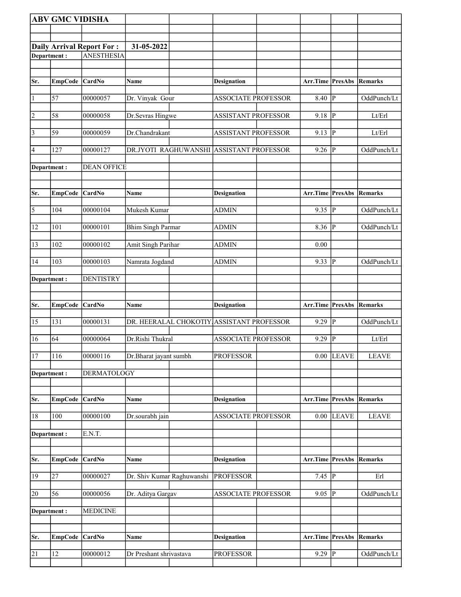|                 | <b>ABV GMC VIDISHA</b> |                                  |                                           |                            |                       |                         |                |
|-----------------|------------------------|----------------------------------|-------------------------------------------|----------------------------|-----------------------|-------------------------|----------------|
|                 |                        |                                  |                                           |                            |                       |                         |                |
|                 |                        | <b>Daily Arrival Report For:</b> | 31-05-2022                                |                            |                       |                         |                |
| Department:     |                        | <b>ANESTHESIA</b>                |                                           |                            |                       |                         |                |
|                 |                        |                                  |                                           |                            |                       |                         |                |
| Sr.             | <b>EmpCode</b>         | <b>CardNo</b>                    | <b>Name</b>                               | <b>Designation</b>         | Arr.Time PresAbs      |                         | Remarks        |
|                 |                        |                                  |                                           |                            |                       |                         |                |
| $\vert$ 1       | 57                     | 00000057                         | Dr. Vinyak Gour                           | <b>ASSOCIATE PROFESSOR</b> | 8.40                  | P                       | OddPunch/Lt    |
| $\vert$ 2       | 58                     | 00000058                         | Dr.Sevras Hingwe                          | <b>ASSISTANT PROFESSOR</b> | 9.18                  | P                       | Lt/Erl         |
| $\vert$ 3       | 59                     | 00000059                         | Dr.Chandrakant                            | <b>ASSISTANT PROFESSOR</b> | $9.13 \overline{P}$   |                         | Lt/Erl         |
| $\vert 4 \vert$ | 127                    | 00000127                         | DR.JYOTI RAGHUWANSHI                      | <b>ASSISTANT PROFESSOR</b> | $9.26$ P              |                         | OddPunch/Lt    |
| Department :    |                        | <b>DEAN OFFICE</b>               |                                           |                            |                       |                         |                |
|                 |                        |                                  |                                           |                            |                       |                         |                |
| Sr.             | <b>EmpCode</b>         | CardNo                           | Name                                      | <b>Designation</b>         | Arr.Time PresAbs      |                         | <b>Remarks</b> |
|                 |                        |                                  |                                           |                            |                       |                         |                |
| $\overline{5}$  | 104                    | 00000104                         | Mukesh Kumar                              | <b>ADMIN</b>               | $9.35$ P              |                         | OddPunch/Lt    |
| 12              | 101                    | 00000101                         | <b>Bhim Singh Parmar</b>                  | <b>ADMIN</b>               | 8.36                  | P                       | OddPunch/Lt    |
| 13              | 102                    | 00000102                         | Amit Singh Parihar                        | <b>ADMIN</b>               | 0.00                  |                         |                |
| 14              | 103                    | 00000103                         | Namrata Jogdand                           | <b>ADMIN</b>               | 9.33                  | P                       | OddPunch/Lt    |
| Department:     |                        | <b>DENTISTRY</b>                 |                                           |                            |                       |                         |                |
|                 |                        |                                  |                                           |                            |                       |                         |                |
|                 |                        |                                  |                                           |                            |                       |                         |                |
| Sr.             | <b>EmpCode</b>         | <b>CardNo</b>                    | Name                                      | <b>Designation</b>         | Arr.Time PresAbs      |                         | Remarks        |
| 15              | 131                    | 00000131                         | DR. HEERALAL CHOKOTIY ASSISTANT PROFESSOR |                            | $9.29$ $\overline{P}$ |                         | OddPunch/Lt    |
|                 |                        |                                  |                                           |                            |                       |                         |                |
| 16              | 64                     | 00000064                         | Dr.Rishi Thukral                          | <b>ASSOCIATE PROFESSOR</b> | 9.29                  | $\overline{\mathbb{P}}$ | Lt/Erl         |
| 17              | <b>116</b>             | 00000116                         | Dr.Bharat jayant sumbh                    | <b>PROFESSOR</b>           |                       | $0.00$ LEAVE            | <b>LEAVE</b>   |
| Department:     |                        | <b>DERMATOLOGY</b>               |                                           |                            |                       |                         |                |
|                 |                        |                                  |                                           |                            |                       |                         |                |
| Sr.             | <b>EmpCode</b>         | CardNo                           | Name                                      | <b>Designation</b>         | Arr.Time              | PresAbs                 | <b>Remarks</b> |
| 18              | $\overline{100}$       | 00000100                         | Dr.sourabh jain                           | <b>ASSOCIATE PROFESSOR</b> | 0.00                  | <b>LEAVE</b>            | <b>LEAVE</b>   |
| Department:     |                        | E.N.T.                           |                                           |                            |                       |                         |                |
|                 |                        |                                  |                                           |                            |                       |                         |                |
| Sr.             | <b>EmpCode</b>         | CardNo                           | Name                                      | <b>Designation</b>         | Arr.Time PresAbs      |                         | <b>Remarks</b> |
| 19              | 27                     | 00000027                         | Dr. Shiv Kumar Raghuwanshi                | <b>PROFESSOR</b>           | 7.45 $\sqrt{P}$       |                         | Erl            |
| 20              | 56                     | 00000056                         | Dr. Aditya Gargav                         | ASSOCIATE PROFESSOR        | 9.05                  | P                       | OddPunch/Lt    |
|                 |                        |                                  |                                           |                            |                       |                         |                |
| Department:     |                        | <b>MEDICINE</b>                  |                                           |                            |                       |                         |                |
|                 |                        |                                  |                                           |                            |                       |                         |                |
| Sr.             | <b>EmpCode</b>         | CardNo                           | Name                                      | <b>Designation</b>         | Arr.Time PresAbs      |                         | <b>Remarks</b> |
| 21              | 12                     | 00000012                         | Dr Preshant shrivastava                   | <b>PROFESSOR</b>           | $9.29$ P              |                         | OddPunch/Lt    |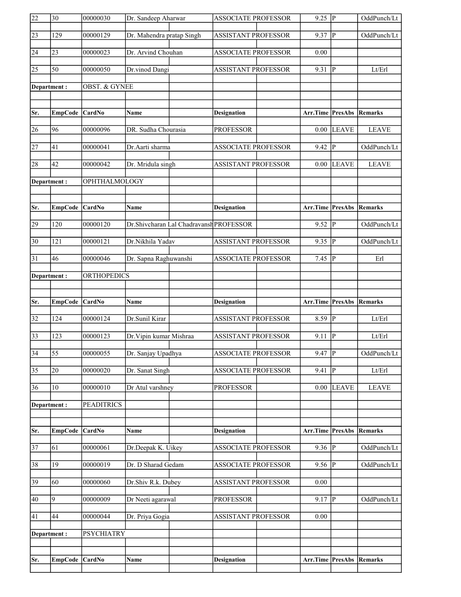| 22              | 30              | 00000030                 | Dr. Sandeep Aharwar       |                                         | <b>ASSOCIATE PROFESSOR</b> | $9.25 \overline{P}$ |                | OddPunch/Lt    |
|-----------------|-----------------|--------------------------|---------------------------|-----------------------------------------|----------------------------|---------------------|----------------|----------------|
| $\overline{23}$ | 129             | 00000129                 | Dr. Mahendra pratap Singh |                                         | <b>ASSISTANT PROFESSOR</b> | $9.37$ P            |                | OddPunch/Lt    |
| 24              | 23              | 00000023                 | Dr. Arvind Chouhan        |                                         | <b>ASSOCIATE PROFESSOR</b> | 0.00                |                |                |
| $\overline{25}$ | 50              | 00000050                 | Dr.vinod Dangi            |                                         | <b>ASSISTANT PROFESSOR</b> | 9.31                | P              | Lt/Erl         |
| Department:     |                 | <b>OBST. &amp; GYNEE</b> |                           |                                         |                            |                     |                |                |
|                 |                 |                          |                           |                                         |                            |                     |                |                |
| Sr.             | <b>EmpCode</b>  | CardNo                   | Name                      |                                         | <b>Designation</b>         | Arr.Time PresAbs    |                | <b>Remarks</b> |
| 26              | 96              | 00000096                 | DR. Sudha Chourasia       |                                         | <b>PROFESSOR</b>           | 0.00                | <b>LEAVE</b>   | <b>LEAVE</b>   |
| $\overline{27}$ | 41              | 00000041                 | Dr.Aarti sharma           |                                         | <b>ASSOCIATE PROFESSOR</b> | $9.42 \overline{P}$ |                | OddPunch/Lt    |
| 28              | 42              | 00000042                 | Dr. Mridula singh         |                                         | <b>ASSISTANT PROFESSOR</b> |                     | $0.00$ LEAVE   | <b>LEAVE</b>   |
|                 | Department:     | OPHTHALMOLOGY            |                           |                                         |                            |                     |                |                |
|                 |                 |                          |                           |                                         |                            |                     |                |                |
| Sr.             | <b>EmpCode</b>  | $\vert$ CardNo           | Name                      |                                         | <b>Designation</b>         | Arr.Time PresAbs    |                | Remarks        |
| 29              | 120             | 00000120                 |                           | Dr.Shivcharan Lal Chadravansh PROFESSOR |                            | 9.52                | P              | OddPunch/Lt    |
| $\overline{30}$ | 121             | 00000121                 | Dr.Nikhila Yadav          |                                         | <b>ASSISTANT PROFESSOR</b> | $9.35$ P            |                | OddPunch/Lt    |
| 31              | 46              | 00000046                 | Dr. Sapna Raghuwanshi     |                                         | <b>ASSOCIATE PROFESSOR</b> | $7.45$ P            |                | Erl            |
| Department:     |                 | ORTHOPEDICS              |                           |                                         |                            |                     |                |                |
|                 |                 |                          |                           |                                         |                            |                     |                |                |
|                 |                 |                          |                           |                                         |                            |                     |                |                |
| Sr.             | EmpCode         | CardNo                   | Name                      |                                         | <b>Designation</b>         | Arr.Time PresAbs    |                | Remarks        |
| $\overline{32}$ | 124             | 00000124                 | Dr.Sunil Kirar            |                                         | <b>ASSISTANT PROFESSOR</b> | $8.59$ P            |                | Lt/Erl         |
| $\overline{33}$ | 123             | 00000123                 | Dr. Vipin kumar Mishraa   |                                         | <b>ASSISTANT PROFESSOR</b> | $9.11$ P            |                | Lt/Erl         |
| $\overline{34}$ | $\overline{55}$ | 00000055                 | Dr. Sanjay Upadhya        |                                         | <b>ASSOCIATE PROFESSOR</b> | $9.47$ P            |                | OddPunch/Lt    |
| $\overline{35}$ | 20              | 00000020                 | Dr. Sanat Singh           |                                         | <b>ASSOCIATE PROFESSOR</b> | 9.41                | $ {\bf p} $    | Lt/Erl         |
| 36              | 10              | 00000010                 | Dr Atul varshney          |                                         | <b>PROFESSOR</b>           | 0.00                | <b>LEAVE</b>   | <b>LEAVE</b>   |
| Department:     |                 | <b>PEADITRICS</b>        |                           |                                         |                            |                     |                |                |
|                 |                 |                          |                           |                                         |                            |                     |                |                |
| Sr.             | <b>EmpCode</b>  | CardNo                   | Name                      |                                         | <b>Designation</b>         | Arr.Time            | <b>PresAbs</b> | <b>Remarks</b> |
| $\overline{37}$ | 61              | 00000061                 | Dr.Deepak K. Uikey        |                                         | <b>ASSOCIATE PROFESSOR</b> | $9.36$ P            |                | OddPunch/Lt    |
| 38              | 19              | 00000019                 | Dr. D Sharad Gedam        |                                         | <b>ASSOCIATE PROFESSOR</b> | $9.56$ P            |                | OddPunch/Lt    |
| 39              | 60              | 00000060                 | Dr.Shiv R.k. Dubey        |                                         | ASSISTANT PROFESSOR        | $0.00\,$            |                |                |
| 40              | 9               | 00000009                 | Dr Neeti agarawal         |                                         | <b>PROFESSOR</b>           | $9.17$ P            |                | OddPunch/Lt    |
| 41              | 44              | 00000044                 | Dr. Priya Gogia           |                                         | <b>ASSISTANT PROFESSOR</b> | 0.00                |                |                |
| Department :    |                 | PSYCHIATRY               |                           |                                         |                            |                     |                |                |
|                 |                 |                          |                           |                                         |                            |                     |                |                |